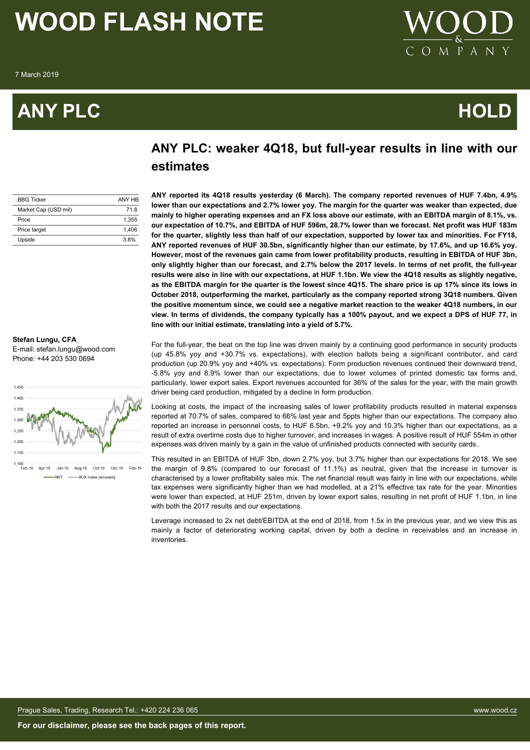# **ANY PLC HOLD**



# **ANY PLC: weaker 4Q18, but full-year results in line with our estimates**

| <b>BBG Ticker</b>    | ANY HR |
|----------------------|--------|
| Market Cap (USD mil) | 718    |
| Price                | 1.355  |
| Price target         | 1.406  |
| Upside               | 3.8%   |

**ANY reported its 4Q18 results yesterday (6 March). The company reported revenues of HUF 7.4bn, 4.9% lower than our expectations and 2.7% lower yoy. The margin for the quarter was weaker than expected, due mainly to higher operating expenses and an FX loss above our estimate, with an EBITDA margin of 8.1%, vs. our expectation of 10.7%, and EBITDA of HUF 596m, 28.7% lower than we forecast. Net profit was HUF 183m for the quarter, slightly less than half of our expectation, supported by lower tax and minorities. For FY18, ANY reported revenues of HUF 30.5bn, significantly higher than our estimate, by 17.6%, and up 16.6% yoy. However, most of the revenues gain came from lower profitability products, resulting in EBITDA of HUF 3bn, only slightly higher than our forecast, and 2.7% below the 2017 levels. In terms of net profit, the full-year results were also in line with our expectations, at HUF 1.1bn. We view the 4Q18 results as slightly negative, as the EBITDA margin for the quarter is the lowest since 4Q15. The share price is up 17% since its lows in October 2018, outperforming the market, particularly as the company reported strong 3Q18 numbers. Given the positive momentum since, we could see a negative market reaction to the weaker 4Q18 numbers, in our view. In terms of dividends, the company typically has a 100% payout, and we expect a DPS of HUF 77, in line with our initial estimate, translating into a yield of 5.7%.**

For the full-year, the beat on the top line was driven mainly by a continuing good performance in security products (up 45.8% yoy and +30.7% vs. expectations), with election ballots being a significant contributor, and card production (up 20.9% yoy and +40% vs. expectations). Form production revenues continued their downward trend, -5.8% yoy and 8.9% lower than our expectations, due to lower volumes of printed domestic tax forms and, particularly, lower export sales. Export revenues accounted for 36% of the sales for the year, with the main growth driver being card production, mitigated by a decline in form production.

Looking at costs, the impact of the increasing sales of lower profitability products resulted in material expenses reported at 70.7% of sales, compared to 66% last year and 5ppts higher than our expectations. The company also reported an increase in personnel costs, to HUF 6.5bn, +9.2% yoy and 10.3% higher than our expectations, as a result of extra overtime costs due to higher turnover, and increases in wages. A positive result of HUF 554m in other expenses was driven mainly by a gain in the value of unfinished products connected with security cards.

This resulted in an EBITDA of HUF 3bn, down 2.7% yoy, but 3.7% higher than our expectations for 2018. We see the margin of 9.8% (compared to our forecast of 11.1%) as neutral, given that the increase in turnover is characterised by a lower profitability sales mix. The net financial result was fairly in line with our expectations, while tax expenses were significantly higher than we had modelled, at a 21% effective tax rate for the year. Minorities were lower than expected, at HUF 251m, driven by lower export sales, resulting in net profit of HUF 1.1bn, in line with both the 2017 results and our expectations.

Leverage increased to 2x net debt/EBITDA at the end of 2018, from 1.5x in the previous year, and we view this as mainly a factor of deteriorating working capital, driven by both a decline in receivables and an increase in inventories.

**Stefan Lungu, CFA** E-mail: stefan.lungu@wood.com Phone: +44 203 530 0694

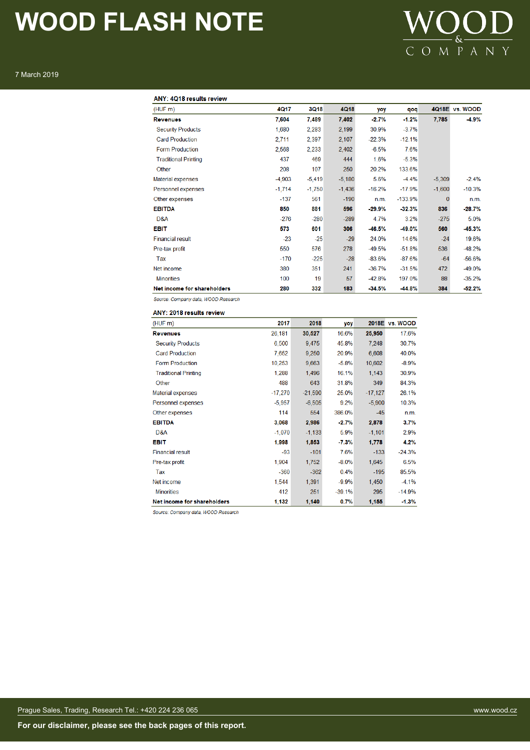# **WOOD**

## 7 March 2019

### ANY: 4Q18 results review

| (HUF m)                     | 4Q17     | <b>3Q18</b> | <b>4Q18</b> | yoy      | qoq       | 4Q18E    | vs. WOOD |
|-----------------------------|----------|-------------|-------------|----------|-----------|----------|----------|
| <b>Revenues</b>             | 7,604    | 7,489       | 7,402       | $-2.7%$  | $-1.2%$   | 7,785    | $-4.9%$  |
| <b>Security Products</b>    | 1,680    | 2,283       | 2,199       | 30.9%    | $-3.7%$   |          |          |
| <b>Card Production</b>      | 2,711    | 2,397       | 2,107       | $-22.3%$ | $-12.1%$  |          |          |
| <b>Form Production</b>      | 2,568    | 2,233       | 2,402       | $-6.5%$  | 7.6%      |          |          |
| <b>Traditional Printing</b> | 437      | 469         | 444         | 1.6%     | $-5.3%$   |          |          |
| Other                       | 208      | 107         | 250         | 20.2%    | 133.6%    |          |          |
| Material expenses           | $-4.903$ | $-5,419$    | $-5,180$    | 5.6%     | $-4.4%$   | $-5,309$ | $-2.4%$  |
| Personnel expenses          | $-1,714$ | $-1,750$    | $-1,436$    | $-16.2%$ | $-17.9%$  | $-1,600$ | $-10.3%$ |
| Other expenses              | $-137$   | 561         | $-190$      | n.m.     | $-133.9%$ | 0        | n.m.     |
| <b>EBITDA</b>               | 850      | 881         | 596         | $-29.9%$ | $-32.3%$  | 836      | $-28.7%$ |
| D&A                         | $-276$   | $-280$      | $-289$      | 4.7%     | 3.2%      | $-275$   | 5.0%     |
| <b>EBIT</b>                 | 573      | 601         | 306         | $-46.5%$ | $-49.0%$  | 560      | $-45.3%$ |
| <b>Financial result</b>     | $-23$    | $-25$       | $-29$       | 24.0%    | 14.6%     | $-24$    | 19.6%    |
| Pre-tax profit              | 550      | 576         | 278         | $-49.5%$ | $-51.8%$  | 536      | $-48.2%$ |
| Tax                         | $-170$   | $-225$      | $-28$       | $-83.6%$ | $-87.6%$  | $-64$    | $-56.6%$ |
| Net income                  | 380      | 351         | 241         | $-36.7%$ | $-31.5%$  | 472      | $-49.0%$ |
| <b>Minorities</b>           | 100      | 19          | 57          | $-42.8%$ | 197.0%    | 88       | $-35.2%$ |
| Net income for shareholders | 280      | 332         | 183         | $-34.5%$ | $-44.8%$  | 384      | $-52.2%$ |

Source: Company data, WOOD Research

ANY: 2018 results review

| (HUFm)                      | 2017      | 2018      | yoy      | 2018E     | vs. WOOD |
|-----------------------------|-----------|-----------|----------|-----------|----------|
| <b>Revenues</b>             | 26,181    | 30,527    | 16.6%    | 25,950    | 17.6%    |
| <b>Security Products</b>    | 6,500     | 9,475     | 45.8%    | 7,248     | 30.7%    |
| <b>Card Production</b>      | 7,652     | 9,250     | 20.9%    | 6,608     | 40.0%    |
| <b>Form Production</b>      | 10,253    | 9,663     | $-5.8%$  | 10,602    | $-8.9%$  |
| <b>Traditional Printing</b> | 1,288     | 1,496     | 16.1%    | 1,143     | 30.9%    |
| Other                       | 488       | 643       | 31.8%    | 349       | 84.3%    |
| Material expenses           | $-17,270$ | $-21,590$ | 25.0%    | $-17,127$ | 26.1%    |
| Personnel expenses          | $-5,957$  | $-6,505$  | 9.2%     | $-5,900$  | 10.3%    |
| Other expenses              | 114       | 554       | 386.0%   | $-45$     | n.m.     |
| <b>EBITDA</b>               | 3,068     | 2,986     | $-2.7%$  | 2,878     | 3.7%     |
| D&A                         | $-1,070$  | $-1.133$  | 5.9%     | $-1,101$  | 2.9%     |
| <b>EBIT</b>                 | 1,998     | 1,853     | $-7.3%$  | 1,778     | 4.2%     |
| <b>Financial result</b>     | $-93$     | $-101$    | 7.6%     | $-133$    | $-24.3%$ |
| Pre-tax profit              | 1,904     | 1,752     | $-8.0%$  | 1,645     | 6.5%     |
| Tax                         | $-360$    | $-362$    | 0.4%     | $-195$    | 85.5%    |
| Net income                  | 1,544     | 1,391     | $-9.9%$  | 1,450     | $-4.1%$  |
| <b>Minorities</b>           | 412       | 251       | $-39.1%$ | 295       | -14.9%   |
| Net income for shareholders | 1,132     | 1,140     | 0.7%     | 1,155     | $-1.3%$  |

Source: Company data, WOOD Research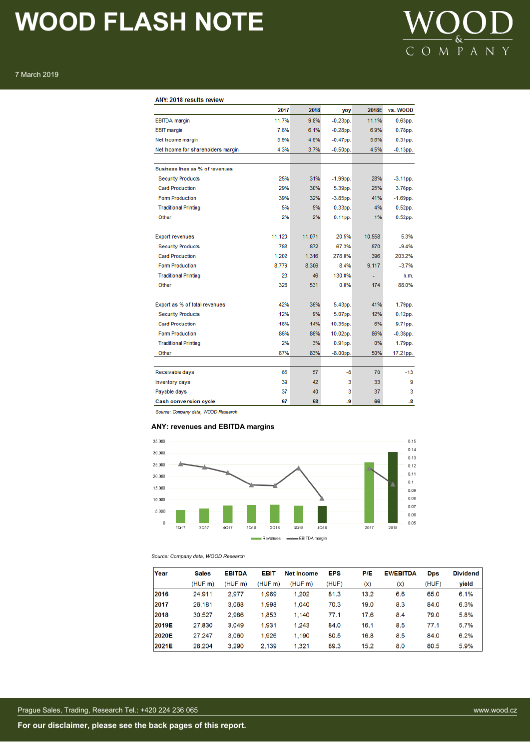

# 7 March 2019

# ANY: 2018 results review

|                                    | 2017   | 2018   | yoy         | 2018E  | vs. WOOD    |
|------------------------------------|--------|--------|-------------|--------|-------------|
| <b>EBITDA</b> margin               | 11.7%  | 9.8%   | $-0.23$ pp. | 11.1%  | $0.63pp$ .  |
| <b>EBIT</b> margin                 | 7.6%   | 6.1%   | $-0.28$ pp. | 6.9%   | $0.78pp$ .  |
| Net Income margin                  | 5.9%   | 4.6%   | $-0.47$ pp. | 5.6%   | $0.31pp$ .  |
| Net Income for shareholders margin | 4.3%   | 3.7%   | $-0.50$ pp. | 4.5%   | $-0.13$ pp. |
|                                    |        |        |             |        |             |
| Business lines as % of revenues    |        |        |             |        |             |
| <b>Security Products</b>           | 25%    | 31%    | $-1.99$ pp. | 28%    | $-3.11$ pp. |
| <b>Card Production</b>             | 29%    | 30%    | 5.39pp.     | 25%    | 3.76pp.     |
| <b>Form Production</b>             | 39%    | 32%    | $-3.85$ pp. | 41%    | $-1.69$ pp. |
| <b>Traditional Printing</b>        | 5%     | 5%     | $0.33DD$ .  | 4%     | $0.52pp$ .  |
| Other                              | 2%     | 2%     | $0.11$ pp.  | 1%     | $0.52$ pp.  |
|                                    |        |        |             |        |             |
| <b>Export revenues</b>             | 11,120 | 11,071 | 20.5%       | 10,558 | 5.3%        |
| <b>Security Products</b>           | 788    | 872    | 67.3%       | 870    | $-9.4%$     |
| <b>Card Production</b>             | 1,202  | 1,316  | 278.0%      | 396    | 203.2%      |
| <b>Form Production</b>             | 8.779  | 8,306  | 8.4%        | 9.117  | $-3.7%$     |
| <b>Traditional Printing</b>        | 23     | 46     | 130.0%      |        | n.m.        |
| Other                              | 328    | 531    | 0.0%        | 174    | 88.0%       |
|                                    |        |        |             |        |             |
| Export as % of total revenues      | 42%    | 36%    | 5.43pp.     | 41%    | 1.79pp.     |
| <b>Security Products</b>           | 12%    | 9%     | 5.07pp.     | 12%    | $0.12$ pp.  |
| <b>Card Production</b>             | 16%    | 14%    | 10.35pp.    | 6%     | 9.71pp.     |
| <b>Form Production</b>             | 86%    | 86%    | 10.02pp.    | 86%    | $-0.38$ pp. |
| <b>Traditional Printing</b>        | 2%     | 3%     | $0.91DD$ .  | 0%     | 1.79pp.     |
| Other                              | 67%    | 83%    | $-8.00$ pp. | 50%    | 17.21pp.    |
|                                    |        |        |             |        |             |
| Receivable days                    | 65     | 57     | $-8$        | 70     | $-13$       |
| Inventory days                     | 39     | 42     | 3           | 33     | 9           |
| Payable days                       | 37     | 40     | 3           | 37     | 3           |
| Cash conversion cycle              | 67     | 58     | -9          | 66     | $-8$        |

Source: Company data, WOOD Research

### **ANY: revenues and EBITDA margins**



*Source: Company data, WOOD Research*

| Year  | <b>Sales</b> | <b>EBITDA</b> | <b>EBIT</b> | <b>Net Income</b> | <b>EPS</b> | P/E  | <b>EV/EBITDA</b> | <b>Dps</b> | <b>Dividend</b> |
|-------|--------------|---------------|-------------|-------------------|------------|------|------------------|------------|-----------------|
|       | (HUF m)      | (HUFm)        | (HUF m)     | (HUF m)           | (HUF)      | (x)  | (x)              | (HUF)      | yield           |
| 2016  | 24,911       | 2.977         | 1,969       | 1.202             | 81.3       | 13.2 | 6.6              | 65.0       | 6.1%            |
| 12017 | 26,181       | 3.068         | 1,998       | 1,040             | 70.3       | 19.0 | 8.3              | 84.0       | 6.3%            |
| 2018  | 30,527       | 2.986         | 1,853       | 1,140             | 77.1       | 17.6 | 8.4              | 79.0       | 5.8%            |
| 2019E | 27,830       | 3.049         | 1.931       | 1.243             | 84.0       | 16.1 | 8.5              | 77.1       | 5.7%            |
| 2020E | 27.247       | 3.060         | 1.926       | 1.190             | 80.5       | 16.8 | 8.5              | 84.0       | 6.2%            |
| 2021E | 28.204       | 3.290         | 2.139       | 1.321             | 89.3       | 15.2 | 8.0              | 80.5       | 5.9%            |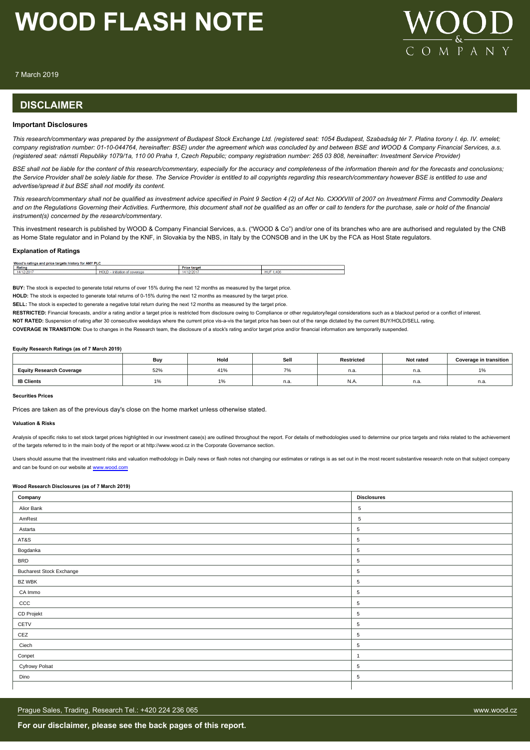

7 March 2019

# **DISCLAIMER**

### **Important Disclosures**

*This research/commentary was prepared by the assignment of Budapest Stock Exchange Ltd. (registered seat: 1054 Budapest, Szabadság tér 7. Platina torony I. ép. IV. emelet; company registration number: 01-10-044764, hereinafter: BSE) under the agreement which was concluded by and between BSE and WOOD & Company Financial Services, a.s. (registered seat: námstí Republiky 1079/1a, 110 00 Praha 1, Czech Republic; company registration number: 265 03 808, hereinafter: Investment Service Provider)*

*BSE shall not be liable for the content of this research/commentary, especially for the accuracy and completeness of the information therein and for the forecasts and conclusions; the Service Provider shall be solely liable for these. The Service Provider is entitled to all copyrights regarding this research/commentary however BSE is entitled to use and advertise/spread it but BSE shall not modify its content.*

*This research/commentary shall not be qualified as investment advice specified in Point 9 Section 4 (2) of Act No. CXXXVIII of 2007 on Investment Firms and Commodity Dealers and on the Regulations Governing their Activities. Furthermore, this document shall not be qualified as an offer or call to tenders for the purchase, sale or hold of the financial instrument(s) concerned by the research/commentary.*

This investment research is published by WOOD & Company Financial Services, a.s. ("WOOD & Co") and/or one of its branches who are are authorised and regulated by the CNB as Home State regulator and in Poland by the KNF, in Slovakia by the NBS, in Italy by the CONSOB and in the UK by the FCA as Host State regulators.

#### **Explanation of Ratings**

| Woog<br>ANV DLC<br>for<br>targets<br>ratings and price<br>, nistor<br>.<br>. . |                     |                       |                  |  |  |  |  |
|--------------------------------------------------------------------------------|---------------------|-----------------------|------------------|--|--|--|--|
| Rating                                                                         |                     | <b>Price</b><br>targe |                  |  |  |  |  |
| -202                                                                           | <b>LOVE</b><br>-к л |                       | HUF<br>$A\Omega$ |  |  |  |  |

**BUY:** The stock is expected to generate total returns of over 15% during the next 12 months as measured by the target price.

**HOLD:** The stock is expected to generate total returns of 0-15% during the next 12 months as measured by the target price.

**SELL:** The stock is expected to generate a negative total return during the next 12 months as measured by the target price.

RESTRICTED: Financial forecasts, and/or a rating and/or a target price is restricted from disclosure owing to Compliance or other regulatory/legal considerations such as a blackout period or a conflict of interest.

**NOT RATED:** Suspension of rating after 30 consecutive weekdays where the current price vis-a-vis the target price has been out of the range dictated by the current BUY/HOLD/SELL rating.

**COVERAGE IN TRANSITION:** Due to changes in the Research team, the disclosure of a stock's rating and/or target price and/or financial information are temporarily suspended.

#### **Equity Research Ratings (as of 7 March 2019)**

|                                 | Bu         | Hold | Sell | Restricted | Not rated   | Coverage in transition |
|---------------------------------|------------|------|------|------------|-------------|------------------------|
| <b>Equity Research Coverage</b> | 52%        | 41%  | 70   | n.a.       | n.a         | 10/<br>1/0             |
| <b>IB Clients</b>               | <b>170</b> | 1%   | n.a. | IN.A.      | . .<br>n.a. | n.a.                   |

#### **Securities Prices**

Prices are taken as of the previous day's close on the home market unless otherwise stated.

#### **Valuation & Risks**

Analysis of specific risks to set stock target prices highlighted in our investment case(s) are outlined throughout the report. For details of methodologies used to determine our price targets and risks related to the achi of the targets referred to in the main body of the report or at http://www.wood.cz in the Corporate Governance section.

Users should assume that the investment risks and valuation methodology in Daily news or flash notes not changing our estimates or ratings is as set out in the most recent substantive research note on that subject company and can be found on our website at [www.wood.com](https://research.wood.cz)

#### **Wood Research Disclosures (as of 7 March 2019)**

| Company                         | <b>Disclosures</b> |
|---------------------------------|--------------------|
| Alior Bank                      | $\overline{5}$     |
| AmRest                          | 5                  |
| Astarta                         | 5                  |
| AT&S                            | 5                  |
| Bogdanka                        | $\overline{5}$     |
| <b>BRD</b>                      | $\overline{5}$     |
| <b>Bucharest Stock Exchange</b> | $\sqrt{5}$         |
| BZ WBK                          | $\overline{5}$     |
| CA Immo                         | 5                  |
| CCC                             | 5                  |
| CD Projekt                      | 5                  |
| CETV                            | $\overline{5}$     |
| CEZ                             | $\overline{5}$     |
| Ciech                           | 5                  |
| Conpet                          | $\overline{1}$     |
| Cyfrowy Polsat                  | 5                  |
| Dino                            | 5                  |
|                                 |                    |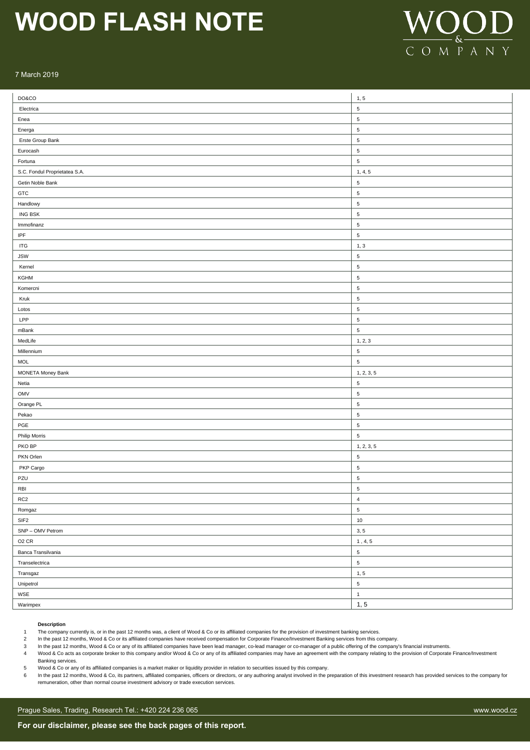

### 7 March 2019

| DO&CO                             | 1, 5                            |
|-----------------------------------|---------------------------------|
| Electrica                         | $\sqrt{5}$                      |
| Enea                              | $\,$ 5 $\,$                     |
| Energa                            | $\sqrt{5}$                      |
| Erste Group Bank                  | $\sqrt{5}$                      |
| Eurocash                          | $\sqrt{5}$                      |
| Fortuna                           | $\sqrt{5}$                      |
| S.C. Fondul Proprietatea S.A.     | 1, 4, 5                         |
| Getin Noble Bank                  | $\sqrt{5}$                      |
| GTC                               | $\,$ 5 $\,$                     |
| Handlowy                          | 5                               |
| <b>ING BSK</b>                    | $\,$ 5 $\,$                     |
| Immofinanz                        | $\,$ 5 $\,$                     |
| $\ensuremath{\mathsf{IPF}}$       | $\,$ 5 $\,$                     |
| $\ensuremath{\mathsf{ITG}}$       | 1, 3                            |
| <b>JSW</b>                        | $\sqrt{5}$                      |
| Kernel                            | $\sqrt{5}$                      |
| KGHM                              | $\sqrt{5}$                      |
| Komercni                          | $\sqrt{5}$                      |
| Kruk                              | 5                               |
| Lotos                             | $\,$ 5 $\,$                     |
| LPP                               | $\,$ 5 $\,$                     |
| mBank                             | $\overline{5}$                  |
| MedLife                           | 1, 2, 3                         |
| Millennium                        | $\sqrt{5}$                      |
| <b>MOL</b>                        | $\sqrt{5}$                      |
| MONETA Money Bank                 | 1, 2, 3, 5                      |
| Netia                             | $\sqrt{5}$                      |
| OMV                               | $\sqrt{5}$                      |
| Orange PL                         | 5                               |
| Pekao                             | 5                               |
| $\sf PGE$                         | $\mathbf 5$                     |
| Philip Morris                     | $\sqrt{5}$                      |
| PKO BP                            | 1, 2, 3, 5                      |
| PKN Orlen                         | $\mathbf 5$                     |
| PKP Cargo                         | $\sqrt{5}$                      |
| PZU                               | $\sqrt{5}$                      |
| $\ensuremath{\mathsf{RB}}\xspace$ | $\overline{\mathbf{5}}$         |
| RC <sub>2</sub>                   | $\pmb{4}$                       |
| Romgaz                            | $\,$ 5 $\,$                     |
| $\ensuremath{\mathsf{SIF2}}$      | $10\,$                          |
| SNP - OMV Petrom                  | 3, 5                            |
| O <sub>2</sub> CR                 | $\ensuremath{\mathbf 1}$ , 4, 5 |
| Banca Transilvania                | $\,$ 5 $\,$                     |
| Transelectrica                    | $\,$ 5 $\,$                     |
| Transgaz                          | 1, 5                            |
| Unipetrol                         | $\,$ 5 $\,$                     |
| WSE                               | $\mathbf{1}$                    |
| Warimpex                          | 1, 5                            |

## **Description**

1 The company currently is, or in the past 12 months was, a client of Wood & Co or its affiliated companies for the provision of investment banking services.

2 In the past 12 months, Wood & Co or its affiliated companies have received compensation for Corporate Finance/Investment Banking services from this company.

3 In the past 12 months, Wood & Co or any of its affiliated companies have been lead manager, co-lead manager or co-manager of a public offering of the company's financial instruments.

4 Wood & Co acts as corporate broker to this company and/or Wood & Co or any of its affiliated companies may have an agreement with the company relating to the provision of Corporate Finance/Investment

Banking services. 5 Wood & Co or any of its affiliated companies is a market maker or liquidity provider in relation to securities issued by this company.

6 In the past 12 months, Wood & Co, its partners, affiliated companies, officers or directors, or any authoring analyst involved in the preparation of this investment research has provided services to the company for

remuneration, other than normal course investment advisory or trade execution services.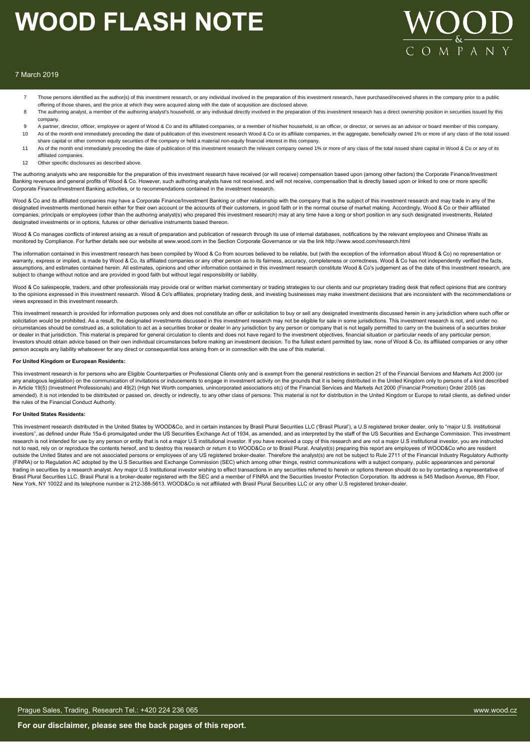

### 7 March 2019

- Those persons identified as the author(s) of this investment research, or any individual involved in the preparation of this investment research, have purchased/received shares in the company prior to a public offering of those shares, and the price at which they were acquired along with the date of acquisition are disclosed above.
- 8 The authoring analyst, a member of the authoring analyst's household, or any individual directly involved in the preparation of this investment research has a direct ownership position in securities issued by this company.
- 9 A partner, director, officer, employee or agent of Wood & Co and its affiliated companies, or a member of his/her household, is an officer, or director, or serves as an advisor or board member of this company. 10 As of the month end immediately preceding the date of publication of this investment research Wood & Co or its affiliate companies, in the aggregate, beneficially owned 1% or more of any class of the total issued
- share capital or other common equity securities of the company or held a material non-equity financial interest in this company.
- 11 As of the month end immediately preceding the date of publication of this investment research the relevant company owned 1% or more of any class of the total issued share capital in Wood & Co or any of its affiliated companies.
- 12 Other specific disclosures as described above

The authoring analysts who are responsible for the preparation of this investment research have received (or will receive) compensation based upon (among other factors) the Corporate Finance/Investment Banking revenues and general profits of Wood & Co. However, such authoring analysts have not received, and will not receive, compensation that is directly based upon or linked to one or more specific Corporate Finance/Investment Banking activities, or to recommendations contained in the investment research.

Wood & Co and its affiliated companies may have a Corporate Finance/Investment Banking or other relationship with the company that is the subject of this investment research and may trade in any of the designated investments mentioned herein either for their own account or the accounts of their customers, in good faith or in the normal course of market making. Accordingly, Wood & Co or their affiliated companies, principals or employees (other than the authoring analyst(s) who prepared this investment research) may at any time have a long or short position in any such designated investments, Related designated investments or in options, futures or other derivative instruments based thereon.

Wood & Co manages conflicts of interest arising as a result of preparation and publication of research through its use of internal databases, notifications by the relevant employees and Chinese Walls as monitored by Compliance. For further details see our website at www.wood.com in the Section Corporate Governance or via the link http://www.wood.com/research.html

The information contained in this investment research has been compiled by Wood & Co from sources believed to be reliable, but (with the exception of the information about Wood & Co) no representation or warranty, express or implied, is made by Wood & Co, its affiliated companies or any other person as to its fairness, accuracy, completeness or correctness. Wood & Co has not independently verified the facts, assumptions, and estimates contained herein. All estimates, opinions and other information contained in this investment research constitute Wood & Co's judgement as of the date of this investment research, are subject to change without notice and are provided in good faith but without legal responsibility or liability.

Wood & Co salespeople, traders, and other professionals may provide oral or written market commentary or trading strategies to our clients and our proprietary trading desk that reflect opinions that are contrary to the opinions expressed in this investment research. Wood & Co's affiliates, proprietary trading desk, and investing businesses may make investment decisions that are inconsistent with the recommendations or views expressed in this investment research.

This investment research is provided for information purposes only and does not constitute an offer or solicitation to buy or sell any designated investments discussed herein in any jurisdiction where such offer or solicitation would be prohibited. As a result, the designated investments discussed in this investment research may not be eligible for sale in some jurisdictions. This investment research is not, and under no circumstances should be construed as, a solicitation to act as a securities broker or dealer in any jurisdiction by any person or company that is not legally permitted to carry on the business of a securities broker or dealer in that jurisdiction. This material is prepared for general circulation to clients and does not have regard to the investment objectives, financial situation or particular needs of any particular person. Investors should obtain advice based on their own individual circumstances before making an investment decision. To the fullest extent permitted by law, none of Wood & Co, its affiliated companies or any other person accepts any liability whatsoever for any direct or consequential loss arising from or in connection with the use of this material.

#### **For United Kingdom or European Residents:**

This investment research is for persons who are Eligible Counterparties or Professional Clients only and is exempt from the general restrictions in section 21 of the Financial Services and Markets Act 2000 (or any analogous legislation) on the communication of invitations or inducements to engage in investment activity on the grounds that it is being distributed in the United Kingdom only to persons of a kind described in Article 19(5) (Investment Professionals) and 49(2) (High Net Worth companies, unincorporated associations etc) of the Financial Services and Markets Act 2000 (Financial Promotion) Order 2005 (as amended). It is not intended to be distributed or passed on, directly or indirectly, to any other class of persons. This material is not for distribution in the United Kingdom or Europe to retail clients, as defined under the rules of the Financial Conduct Authority.

#### **For United States Residents:**

This investment research distributed in the United States by WOOD&Co, and in certain instances by Brasil Plural Securities LLC ('Brasil Plural'), a U.S registered broker dealer, only to "major U.S. institutional investors", as defined under Rule 15a-6 promulgated under the US Securities Exchange Act of 1934, as amended, and as interpreted by the staff of the US Securities and Exchange Commission. This investment research is not intended for use by any person or entity that is not a major U.S institutional investor. If you have received a copy of this research and are not a major U.S institutional investor, you are instructed not to read, rely on or reproduce the contents hereof, and to destroy this research or return it to WOOD&Co or to Brasil Plural. Analyst(s) preparing this report are employees of WOOD&Co who are resident outside the United States and are not associated persons or employees of any US registered broker-dealer. Therefore the analyst(s) are not be subject to Rule 2711 of the Financial Industry Regulatory Authority (FINRA) or to Regulation AC adopted by the U.S Securities and Exchange Commission (SEC) which among other things, restrict communications with a subject company, public appearances and personal trading in securities by a research analyst. Any major U.S Institutional investor wishing to effect transactions in any securities referred to herein or options thereon should do so by contacting a representative of Brasil Plural Securities LLC. Brasil Plural is a broker-dealer registered with the SEC and a member of FINRA and the Securities Investor Protection Corporation. Its address is 545 Madison Avenue, 8th Floor, New York, NY 10022 and its telephone number is 212-388-5613. WOOD&Co is not affiliated with Brasil Plural Securities LLC or any other U.S registered broker-dealer.